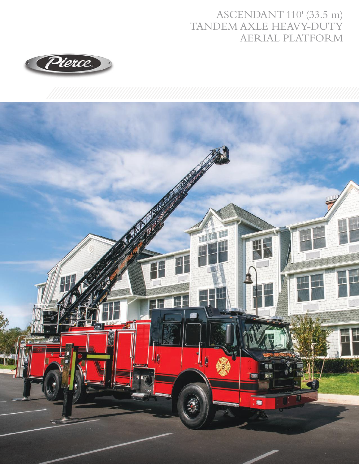## ASCENDANT 110' (33.5 m) TANDEM AXLE HEAVY-DUTY AERIAL PLATFORM